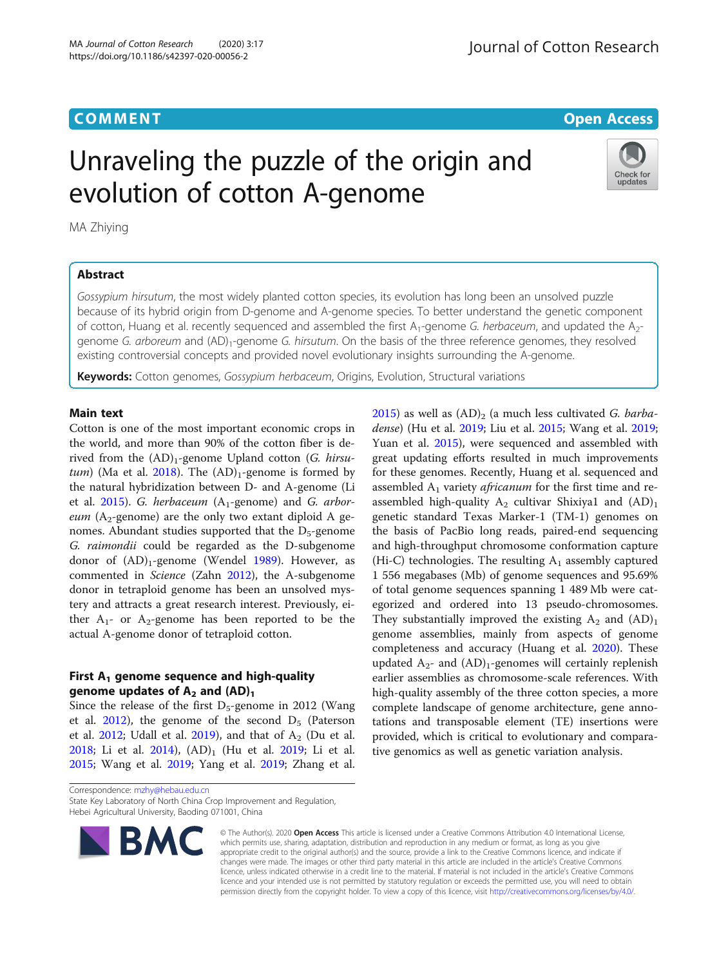**COMMENT COMMENT COMMENT** 

# Unraveling the puzzle of the origin and evolution of cotton A-genome



MA Zhiying

# Abstract

Gossypium hirsutum, the most widely planted cotton species, its evolution has long been an unsolved puzzle because of its hybrid origin from D-genome and A-genome species. To better understand the genetic component of cotton, Huang et al. recently sequenced and assembled the first  $A_1$ -genome G. herbaceum, and updated the  $A_2$ genome G. arboreum and (AD)<sub>1</sub>-genome G. hirsutum. On the basis of the three reference genomes, they resolved existing controversial concepts and provided novel evolutionary insights surrounding the A-genome.

Keywords: Cotton genomes, Gossypium herbaceum, Origins, Evolution, Structural variations

# Main text

Cotton is one of the most important economic crops in the world, and more than 90% of the cotton fiber is derived from the  $(AD)$ <sub>1</sub>-genome Upland cotton (G. hirsu-tum) (Ma et al. [2018\)](#page-1-0). The  $(AD)<sub>1</sub>$ -genome is formed by the natural hybridization between D- and A-genome (Li et al.  $2015$ ). G. herbaceum ( $A_1$ -genome) and G. arbor*eum* ( $A_2$ -genome) are the only two extant diploid A genomes. Abundant studies supported that the  $D_5$ -genome G. raimondii could be regarded as the D-subgenome donor of  $(AD)$ <sub>1</sub>-genome (Wendel [1989\)](#page-2-0). However, as commented in Science (Zahn [2012\)](#page-2-0), the A-subgenome donor in tetraploid genome has been an unsolved mystery and attracts a great research interest. Previously, either  $A_1$ - or  $A_2$ -genome has been reported to be the actual A-genome donor of tetraploid cotton.

# First  $A_1$  genome sequence and high-quality genome updates of  $A_2$  and  $(AD)_1$

Since the release of the first  $D_5$ -genome in 2012 (Wang et al. [2012\)](#page-2-0), the genome of the second  $D_5$  (Paterson et al.  $2012$ ; Udall et al.  $2019$ ), and that of  $A<sub>2</sub>$  (Du et al. [2018](#page-1-0); Li et al. [2014\)](#page-1-0),  $(AD)_1$  (Hu et al. [2019;](#page-1-0) Li et al. [2015](#page-1-0); Wang et al. [2019](#page-2-0); Yang et al. [2019;](#page-2-0) Zhang et al. [2015](#page-2-0)) as well as  $(AD)_2$  (a much less cultivated G. barbadense) (Hu et al. [2019;](#page-1-0) Liu et al. [2015](#page-1-0); Wang et al. [2019](#page-2-0); Yuan et al. [2015](#page-2-0)), were sequenced and assembled with great updating efforts resulted in much improvements for these genomes. Recently, Huang et al. sequenced and assembled  $A_1$  variety *africanum* for the first time and reassembled high-quality  $A_2$  cultivar Shixiya1 and  $(AD)_1$ genetic standard Texas Marker-1 (TM-1) genomes on the basis of PacBio long reads, paired-end sequencing and high-throughput chromosome conformation capture (Hi-C) technologies. The resulting  $A_1$  assembly captured 1 556 megabases (Mb) of genome sequences and 95.69% of total genome sequences spanning 1 489 Mb were categorized and ordered into 13 pseudo-chromosomes. They substantially improved the existing  $A_2$  and  $(AD)_1$ genome assemblies, mainly from aspects of genome completeness and accuracy (Huang et al. [2020](#page-1-0)). These updated  $A_{2}$ - and  $(AD)_{1}$ -genomes will certainly replenish earlier assemblies as chromosome-scale references. With high-quality assembly of the three cotton species, a more complete landscape of genome architecture, gene annotations and transposable element (TE) insertions were provided, which is critical to evolutionary and comparative genomics as well as genetic variation analysis.

Correspondence: [mzhy@hebau.edu.cn](mailto:mzhy@hebau.edu.cn) State Key Laboratory of North China Crop Improvement and Regulation,

Hebei Agricultural University, Baoding 071001, China



© The Author(s). 2020 Open Access This article is licensed under a Creative Commons Attribution 4.0 International License, which permits use, sharing, adaptation, distribution and reproduction in any medium or format, as long as you give appropriate credit to the original author(s) and the source, provide a link to the Creative Commons licence, and indicate if changes were made. The images or other third party material in this article are included in the article's Creative Commons licence, unless indicated otherwise in a credit line to the material. If material is not included in the article's Creative Commons licence and your intended use is not permitted by statutory regulation or exceeds the permitted use, you will need to obtain permission directly from the copyright holder. To view a copy of this licence, visit [http://creativecommons.org/licenses/by/4.0/.](http://creativecommons.org/licenses/by/4.0/)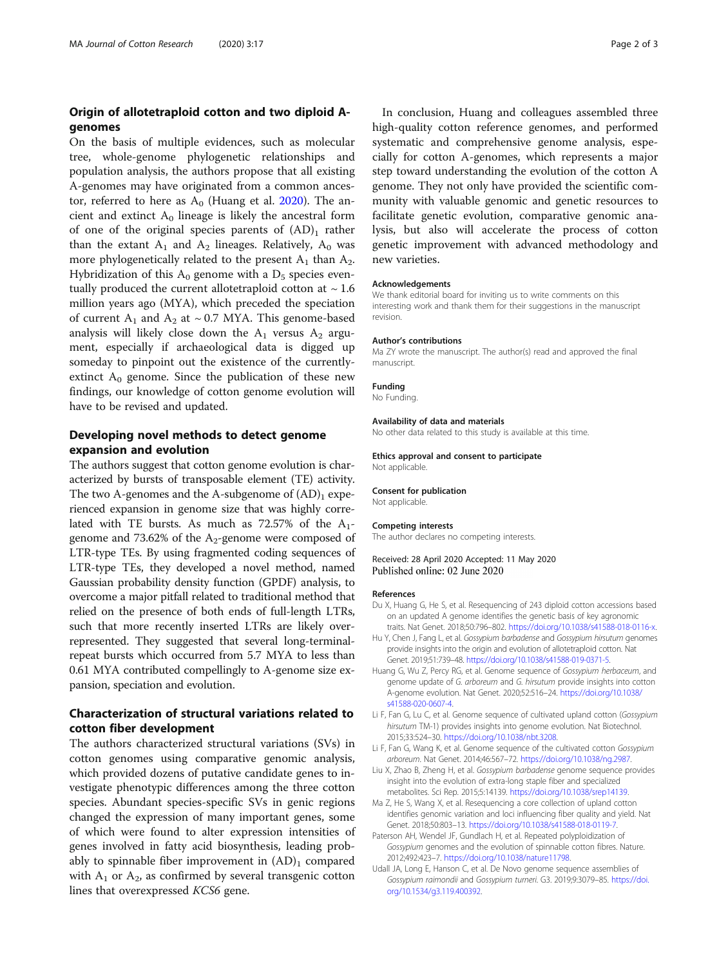# <span id="page-1-0"></span>Origin of allotetraploid cotton and two diploid Agenomes

On the basis of multiple evidences, such as molecular tree, whole-genome phylogenetic relationships and population analysis, the authors propose that all existing A-genomes may have originated from a common ancestor, referred to here as  $A_0$  (Huang et al. 2020). The ancient and extinct  $A_0$  lineage is likely the ancestral form of one of the original species parents of  $(AD)$ <sub>1</sub> rather than the extant  $A_1$  and  $A_2$  lineages. Relatively,  $A_0$  was more phylogenetically related to the present  $A_1$  than  $A_2$ . Hybridization of this  $A_0$  genome with a  $D_5$  species eventually produced the current allotetraploid cotton at  $\sim$  1.6 million years ago (MYA), which preceded the speciation of current  $A_1$  and  $A_2$  at ~ 0.7 MYA. This genome-based analysis will likely close down the  $A_1$  versus  $A_2$  argument, especially if archaeological data is digged up someday to pinpoint out the existence of the currentlyextinct  $A_0$  genome. Since the publication of these new findings, our knowledge of cotton genome evolution will have to be revised and updated.

# Developing novel methods to detect genome expansion and evolution

The authors suggest that cotton genome evolution is characterized by bursts of transposable element (TE) activity. The two A-genomes and the A-subgenome of  $(AD)$ <sub>1</sub> experienced expansion in genome size that was highly correlated with TE bursts. As much as  $72.57\%$  of the  $A_1$ genome and 73.62% of the  $A_2$ -genome were composed of LTR-type TEs. By using fragmented coding sequences of LTR-type TEs, they developed a novel method, named Gaussian probability density function (GPDF) analysis, to overcome a major pitfall related to traditional method that relied on the presence of both ends of full-length LTRs, such that more recently inserted LTRs are likely overrepresented. They suggested that several long-terminalrepeat bursts which occurred from 5.7 MYA to less than 0.61 MYA contributed compellingly to A-genome size expansion, speciation and evolution.

# Characterization of structural variations related to cotton fiber development

The authors characterized structural variations (SVs) in cotton genomes using comparative genomic analysis, which provided dozens of putative candidate genes to investigate phenotypic differences among the three cotton species. Abundant species-specific SVs in genic regions changed the expression of many important genes, some of which were found to alter expression intensities of genes involved in fatty acid biosynthesis, leading probably to spinnable fiber improvement in  $(AD)$ <sub>1</sub> compared with  $A_1$  or  $A_2$ , as confirmed by several transgenic cotton lines that overexpressed KCS6 gene.

In conclusion, Huang and colleagues assembled three high-quality cotton reference genomes, and performed systematic and comprehensive genome analysis, especially for cotton A-genomes, which represents a major step toward understanding the evolution of the cotton A genome. They not only have provided the scientific community with valuable genomic and genetic resources to facilitate genetic evolution, comparative genomic analysis, but also will accelerate the process of cotton genetic improvement with advanced methodology and new varieties.

#### Acknowledgements

We thank editorial board for inviting us to write comments on this interesting work and thank them for their suggestions in the manuscript revision.

#### Author's contributions

Ma ZY wrote the manuscript. The author(s) read and approved the final manuscript.

# Funding

No Funding.

#### Availability of data and materials

No other data related to this study is available at this time.

# Ethics approval and consent to participate

Not applicable.

## Consent for publication

Not applicable.

## Competing interests

The author declares no competing interests.

# Received: 28 April 2020 Accepted: 11 May 2020 Published online: 02 June 2020

#### References

- Du X, Huang G, He S, et al. Resequencing of 243 diploid cotton accessions based on an updated A genome identifies the genetic basis of key agronomic traits. Nat Genet. 2018;50:796–802. <https://doi.org/10.1038/s41588-018-0116-x>.
- Hu Y, Chen J, Fang L, et al. Gossypium barbadense and Gossypium hirsutum genomes provide insights into the origin and evolution of allotetraploid cotton. Nat Genet. 2019;51:739–48. <https://doi.org/10.1038/s41588-019-0371-5>.
- Huang G, Wu Z, Percy RG, et al. Genome sequence of Gossypium herbaceum, and genome update of G. arboreum and G. hirsutum provide insights into cotton A-genome evolution. Nat Genet. 2020;52:516–24. [https://doi.org/10.1038/](https://doi.org/10.1038/s41588-020-0607-4) [s41588-020-0607-4.](https://doi.org/10.1038/s41588-020-0607-4)
- Li F, Fan G, Lu C, et al. Genome sequence of cultivated upland cotton (Gossypium hirsutum TM-1) provides insights into genome evolution. Nat Biotechnol. 2015;33:524–30. <https://doi.org/10.1038/nbt.3208>.
- Li F, Fan G, Wang K, et al. Genome sequence of the cultivated cotton Gossypium arboreum. Nat Genet. 2014;46:567–72. [https://doi.org/10.1038/ng.2987.](https://doi.org/10.1038/ng.2987)
- Liu X, Zhao B, Zheng H, et al. Gossypium barbadense genome sequence provides insight into the evolution of extra-long staple fiber and specialized metabolites. Sci Rep. 2015;5:14139. [https://doi.org/10.1038/srep14139.](https://doi.org/10.1038/srep14139)
- Ma Z, He S, Wang X, et al. Resequencing a core collection of upland cotton identifies genomic variation and loci influencing fiber quality and yield. Nat Genet. 2018;50:803–13. <https://doi.org/10.1038/s41588-018-0119-7>.
- Paterson AH, Wendel JF, Gundlach H, et al. Repeated polyploidization of Gossypium genomes and the evolution of spinnable cotton fibres. Nature. 2012;492:423–7. <https://doi.org/10.1038/nature11798>.
- Udall JA, Long E, Hanson C, et al. De Novo genome sequence assemblies of Gossypium raimondii and Gossypium turneri. G3. 2019;9:3079–85. [https://doi.](https://doi.org/10.1534/g3.119.400392) [org/10.1534/g3.119.400392](https://doi.org/10.1534/g3.119.400392).